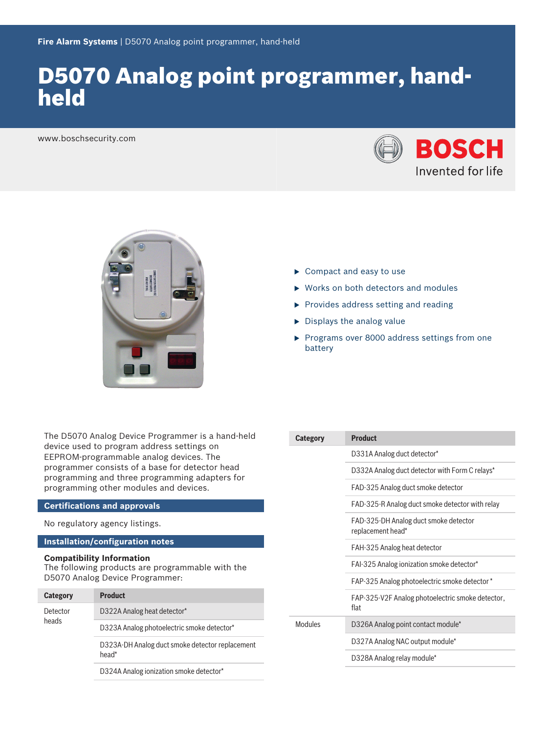# D5070 Analog point programmer, handheld

www.boschsecurity.com





- $\blacktriangleright$  Compact and easy to use
- $\blacktriangleright$  Works on both detectors and modules
- $\blacktriangleright$  Provides address setting and reading
- $\triangleright$  Displays the analog value
- $\blacktriangleright$  Programs over 8000 address settings from one battery

The D5070 Analog Device Programmer is a hand-held device used to program address settings on EEPROM‑programmable analog devices. The programmer consists of a base for detector head programming and three programming adapters for programming other modules and devices.

### **Certifications and approvals**

No regulatory agency listings.

### **Installation/configuration notes**

### **Compatibility Information**

The following products are programmable with the D5070 Analog Device Programmer:

| <b>Category</b>   | <b>Product</b>                                           |
|-------------------|----------------------------------------------------------|
| Detector<br>heads | D322A Analog heat detector*                              |
|                   | D323A Analog photoelectric smoke detector*               |
|                   | D323A-DH Analog duct smoke detector replacement<br>head* |
|                   | D324A Analog ionization smoke detector*                  |

| <b>Category</b> | <b>Product</b>                                             |
|-----------------|------------------------------------------------------------|
|                 | D331A Analog duct detector*                                |
|                 | D332A Analog duct detector with Form C relays*             |
|                 | FAD-325 Analog duct smoke detector                         |
|                 | FAD-325-R Analog duct smoke detector with relay            |
|                 | FAD-325-DH Analog duct smoke detector<br>replacement head* |
|                 | FAH-325 Analog heat detector                               |
|                 | FAI-325 Analog ionization smoke detector*                  |
|                 | FAP-325 Analog photoelectric smoke detector *              |
|                 | FAP-325-V2F Analog photoelectric smoke detector,<br>flat   |
| Modules         | D326A Analog point contact module*                         |
|                 | D327A Analog NAC output module*                            |
|                 | D328A Analog relay module*                                 |
|                 |                                                            |